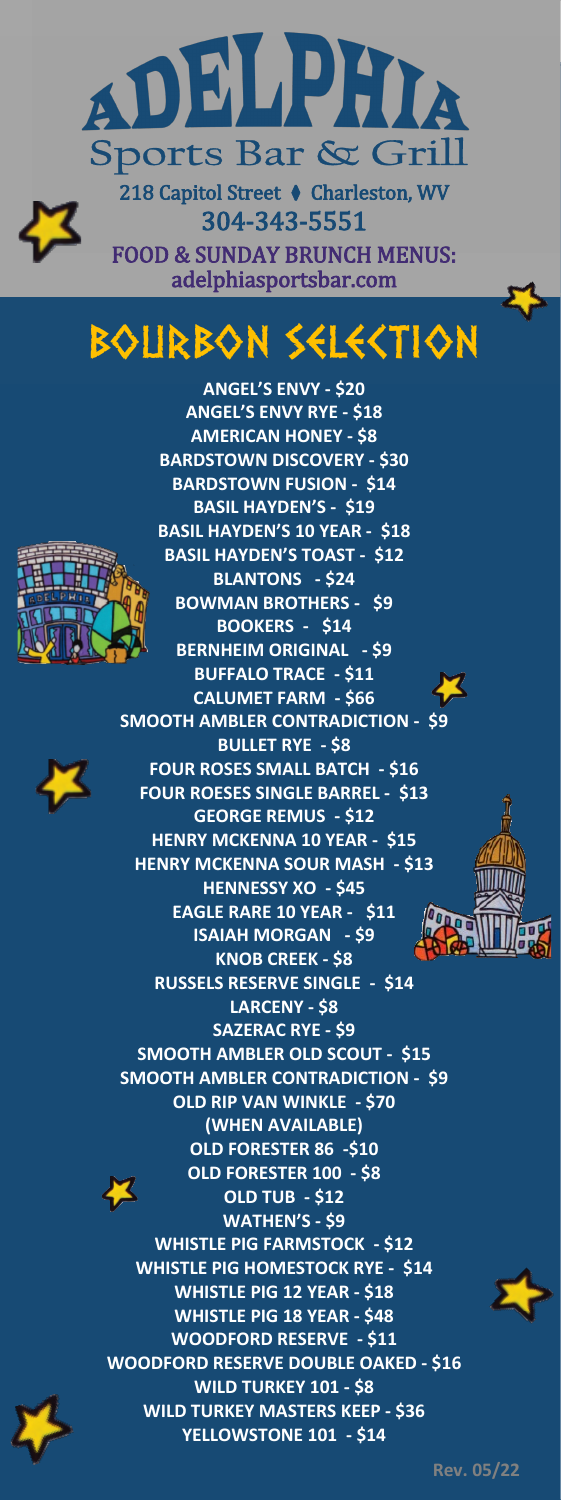

304-343-5551 FOOD & SUNDAY BRUNCH MENUS: adelphiasportsbar.com

## BOURBON SELECTION

l





**ANGEL'S ENVY - \$20 ANGEL'S ENVY RYE - \$18 AMERICAN HONEY - \$8 BARDSTOWN DISCOVERY - \$30 BARDSTOWN FUSION - \$14 BASIL HAYDEN'S - \$19 BASIL HAYDEN'S 10 YEAR - \$18 BASIL HAYDEN'S TOAST - \$12 BLANTONS - \$24 BOWMAN BROTHERS - \$9 BOOKERS - \$14 BERNHEIM ORIGINAL - \$9 BUFFALO TRACE - \$11 CALUMET FARM - \$66 SMOOTH AMBLER CONTRADICTION - \$9 BULLET RYE - \$8 FOUR ROSES SMALL BATCH - \$16 FOUR ROESES SINGLE BARREL - \$13 GEORGE REMUS - \$12 HENRY MCKENNA 10 YEAR - \$15 HENRY MCKENNA SOUR MASH - \$13 HENNESSY XO - \$45 EAGLE RARE 10 YEAR - \$11 ISAIAH MORGAN - \$9 KNOB CREEK - \$8 RUSSELS RESERVE SINGLE - \$14 LARCENY - \$8 SAZERAC RYE - \$9 SMOOTH AMBLER OLD SCOUT - \$15 SMOOTH AMBLER CONTRADICTION - \$9 OLD RIP VAN WINKLE - \$70 (WHEN AVAILABLE) OLD FORESTER 86 -\$10 OLD FORESTER 100 - \$8 OLD TUB - \$12 WATHEN'S - \$9 WHISTLE PIG FARMSTOCK - \$12 WHISTLE PIG HOMESTOCK RYE - \$14 WHISTLE PIG 12 YEAR - \$18 WHISTLE PIG 18 YEAR - \$48 WOODFORD RESERVE - \$11 WOODFORD RESERVE DOUBLE OAKED - \$16 WILD TURKEY 101 - \$8 WILD TURKEY MASTERS KEEP - \$36 YELLOWSTONE 101 - \$14**





 **Rev. 05/22**